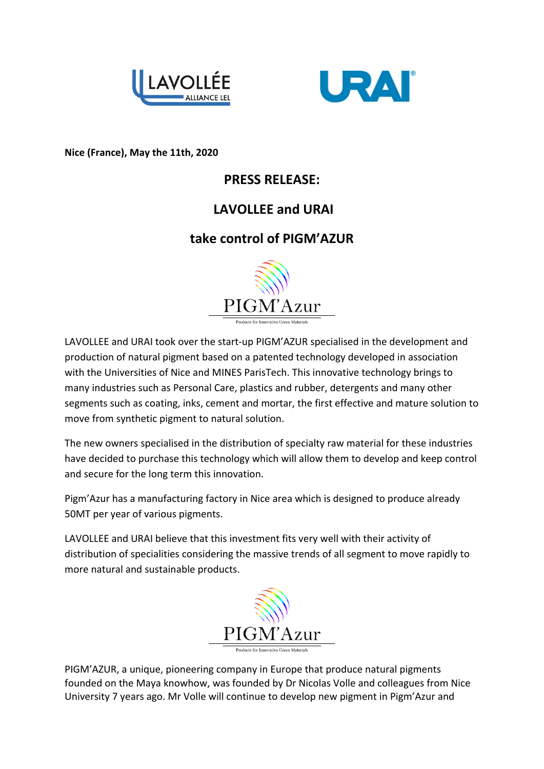



**Nice (France), May the 11th, 2020** 

## **PRESS RELEASE:**

## **LAVOLLEE and URAI**

## **take control of PIGM'AZUR**



LAVOLLEE and URAI took over the start-up PIGM'AZUR specialised in the development and production of natural pigment based on a patented technology developed in association with the Universities of Nice and MINES ParisTech. This innovative technology brings to many industries such as Personal Care, plastics and rubber, detergents and many other segments such as coating, inks, cement and mortar, the first effective and mature solution to move from synthetic pigment to natural solution.

The new owners specialised in the distribution of specialty raw material for these industries have decided to purchase this technology which will allow them to develop and keep control and secure for the long term this innovation.

Pigm'Azur has a manufacturing factory in Nice area which is designed to produce already 50MT per year of various pigments.

LAVOLLEE and URAI believe that this investment fits very well with their activity of distribution of specialities considering the massive trends of all segment to move rapidly to more natural and sustainable products.



PIGM'AZUR, a unique, pioneering company in Europe that produce natural pigments founded on the Maya knowhow, was founded by Dr Nicolas Volle and colleagues from Nice University 7 years ago. Mr Volle will continue to develop new pigment in Pigm'Azur and